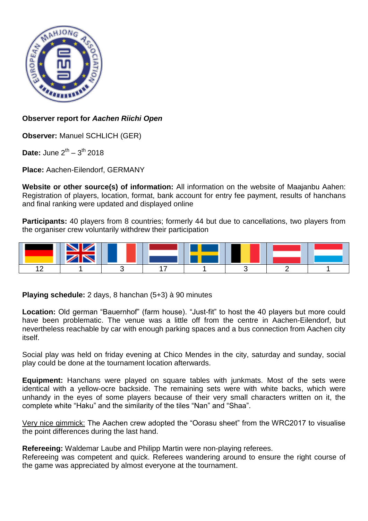

# **Observer report for** *Aachen Riichi Open*

**Observer:** Manuel SCHLICH (GER)

**Date:** June  $2^{th} - 3^{th}$  2018

**Place:** Aachen-Eilendorf, GERMANY

**Website or other source(s) of information:** All information on the website of Maajanbu Aahen: Registration of players, location, format, bank account for entry fee payment, results of hanchans and final ranking were updated and displayed online

**Participants:** 40 players from 8 countries; formerly 44 but due to cancellations, two players from the organiser crew voluntarily withdrew their participation



**Playing schedule:** 2 days, 8 hanchan (5+3) à 90 minutes

**Location:** Old german "Bauernhof" (farm house). "Just-fit" to host the 40 players but more could have been problematic. The venue was a little off from the centre in Aachen-Eilendorf, but nevertheless reachable by car with enough parking spaces and a bus connection from Aachen city itself.

Social play was held on friday evening at Chico Mendes in the city, saturday and sunday, social play could be done at the tournament location afterwards.

**Equipment:** Hanchans were played on square tables with junkmats. Most of the sets were identical with a yellow-ocre backside. The remaining sets were with white backs, which were unhandy in the eyes of some players because of their very small characters written on it, the complete white "Haku" and the similarity of the tiles "Nan" and "Shaa".

Very nice gimmick: The Aachen crew adopted the "Oorasu sheet" from the WRC2017 to visualise the point differences during the last hand.

**Refereeing:** Waldemar Laube and Philipp Martin were non-playing referees.

Refereeing was competent and quick. Referees wandering around to ensure the right course of the game was appreciated by almost everyone at the tournament.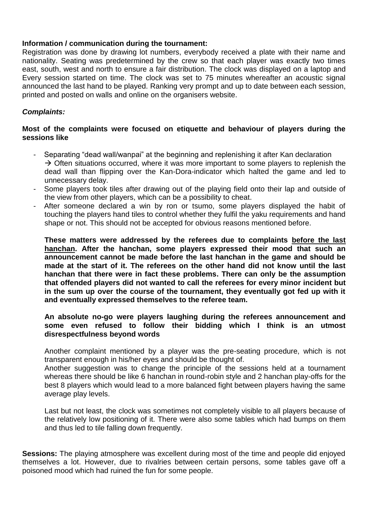### **Information / communication during the tournament:**

Registration was done by drawing lot numbers, everybody received a plate with their name and nationality. Seating was predetermined by the crew so that each player was exactly two times east, south, west and north to ensure a fair distribution. The clock was displayed on a laptop and Every session started on time. The clock was set to 75 minutes whereafter an acoustic signal announced the last hand to be played. Ranking very prompt and up to date between each session, printed and posted on walls and online on the organisers website.

## *Complaints:*

## **Most of the complaints were focused on etiquette and behaviour of players during the sessions like**

- Separating "dead wall/wanpai" at the beginning and replenishing it after Kan declaration  $\rightarrow$  Often situations occurred, where it was more important to some players to replenish the dead wall than flipping over the Kan-Dora-indicator which halted the game and led to unnecessary delay.
- Some players took tiles after drawing out of the playing field onto their lap and outside of the view from other players, which can be a possibility to cheat.
- After someone declared a win by ron or tsumo, some players displayed the habit of touching the players hand tiles to control whether they fulfil the yaku requirements and hand shape or not. This should not be accepted for obvious reasons mentioned before.

**These matters were addressed by the referees due to complaints before the last hanchan. After the hanchan, some players expressed their mood that such an announcement cannot be made before the last hanchan in the game and should be made at the start of it. The referees on the other hand did not know until the last hanchan that there were in fact these problems. There can only be the assumption that offended players did not wanted to call the referees for every minor incident but in the sum up over the course of the tournament, they eventually got fed up with it and eventually expressed themselves to the referee team.** 

### **An absolute no-go were players laughing during the referees announcement and some even refused to follow their bidding which I think is an utmost disrespectfulness beyond words**

Another complaint mentioned by a player was the pre-seating procedure, which is not transparent enough in his/her eyes and should be thought of.

Another suggestion was to change the principle of the sessions held at a tournament whereas there should be like 6 hanchan in round-robin style and 2 hanchan play-offs for the best 8 players which would lead to a more balanced fight between players having the same average play levels.

Last but not least, the clock was sometimes not completely visible to all players because of the relatively low positioning of it. There were also some tables which had bumps on them and thus led to tile falling down frequently.

**Sessions:** The playing atmosphere was excellent during most of the time and people did enjoyed themselves a lot. However, due to rivalries between certain persons, some tables gave off a poisoned mood which had ruined the fun for some people.